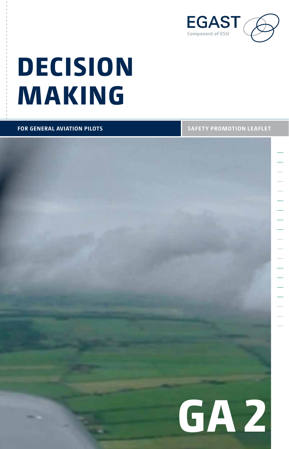

# **Decision Making**

**for General Aviation pilots**

**Safety promotion leaflet**

**GA 2**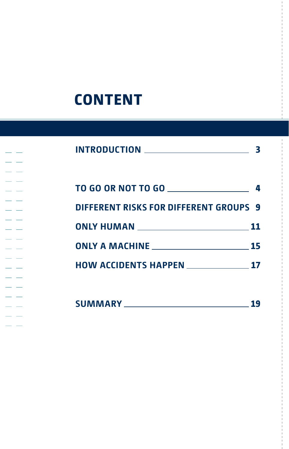## **Content**

 $\overline{\phantom{a}}$ 

| TO GO OR NOT TO GO $\_\_\_\_\_\_\_\_\_\_\_\_\_\_\_\_\_$ |      |
|---------------------------------------------------------|------|
| <b>DIFFERENT RISKS FOR DIFFERENT GROUPS 9</b>           |      |
|                                                         |      |
|                                                         | - 15 |
| <b>HOW ACCIDENTS HAPPEN 17</b>                          |      |
|                                                         |      |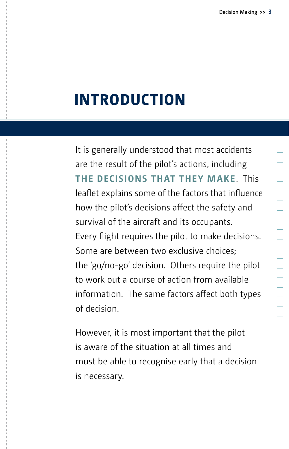## **Introduction**

It is generally understood that most accidents are the result of the pilot's actions, including **the decisions that they make**. This leaflet explains some of the factors that influence how the pilot's decisions affect the safety and survival of the aircraft and its occupants. Every flight requires the pilot to make decisions. Some are between two exclusive choices; the 'go/no-go' decision. Others require the pilot to work out a course of action from available information. The same factors affect both types of decision.

However, it is most important that the pilot is aware of the situation at all times and must be able to recognise early that a decision is necessary.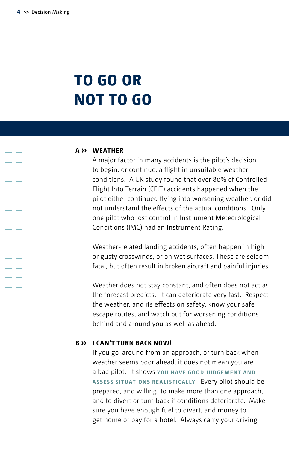$\sim$ a.

a sa s

- 4 a sa

a a a an

## **TO GO OR NOT TO GO**

#### **A ›› Weather**

A major factor in many accidents is the pilot's decision to begin, or continue, a flight in unsuitable weather conditions. A UK study found that over 80% of Controlled Flight Into Terrain (CFIT) accidents happened when the pilot either continued flying into worsening weather, or did not understand the effects of the actual conditions. Only one pilot who lost control in Instrument Meteorological Conditions (IMC) had an Instrument Rating.

Weather-related landing accidents, often happen in high or gusty crosswinds, or on wet surfaces. These are seldom fatal, but often result in broken aircraft and painful injuries.

Weather does not stay constant, and often does not act as the forecast predicts. It can deteriorate very fast. Respect the weather, and its effects on safety; know your safe escape routes, and watch out for worsening conditions behind and around you as well as ahead.

#### **B ›› I can't turn back now!**

If you go-around from an approach, or turn back when weather seems poor ahead, it does not mean you are a bad pilot. It shows **you have good judgement and assess situations realistically**. Every pilot should be prepared, and willing, to make more than one approach, and to divert or turn back if conditions deteriorate. Make sure you have enough fuel to divert, and money to get home or pay for a hotel. Always carry your driving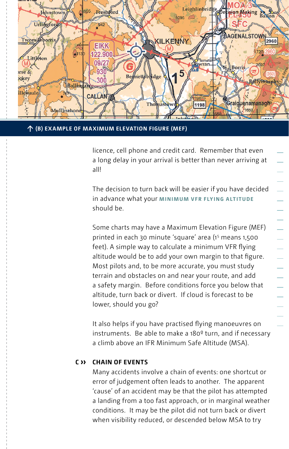

个 (B) EXAMPLE OF MAXIMUM ELEVATION FIGURE (MEF)  $\hspace{0.05cm}$ 

licence, cell phone and credit card. Remember that even a long delay in your arrival is better than never arriving at all!

The decision to turn back will be easier if you have decided in advance what your **minimum VFR flying altitude** should be.

Some charts may have a Maximum Elevation Figure (MEF) printed in each 30 minute 'square' area (15 means 1,500 feet). A simple way to calculate a minimum VFR flying altitude would be to add your own margin to that figure. Most pilots and, to be more accurate, you must study terrain and obstacles on and near your route, and add a safety margin. Before conditions force you below that altitude, turn back or divert. If cloud is forecast to be lower, should you go?

It also helps if you have practised flying manoeuvres on instruments. Be able to make a 180º turn, and if necessary a climb above an IFR Minimum Safe Altitude (MSA).

#### **C ›› Chain of events**

Many accidents involve a chain of events: one shortcut or error of judgement often leads to another. The apparent 'cause' of an accident may be that the pilot has attempted a landing from a too fast approach, or in marginal weather conditions. It may be the pilot did not turn back or divert when visibility reduced, or descended below MSA to try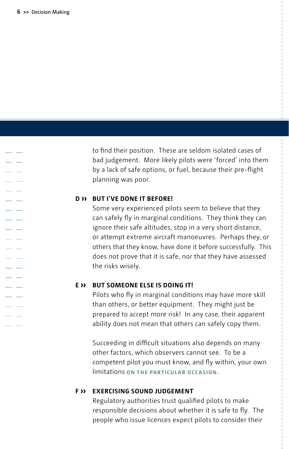J.  $\overline{a}$ . L  $\overline{a}$ 

> . L a sa s  $\overline{a}$ a a . L a a  $\overline{\phantom{a}}$  $\overline{a}$ a a

to find their position. These are seldom isolated cases of bad judgement. More likely pilots were 'forced' into them by a lack of safe options, or fuel, because their pre-flight planning was poor.

#### **D ›› But I've done it before!**

Some very experienced pilots seem to believe that they can safely fly in marginal conditions. They think they can ignore their safe altitudes, stop in a very short distance, or attempt extreme aircraft manoeuvres. Perhaps they, or others that they know, have done it before successfully. This does not prove that it is safe, nor that they have assessed the risks wisely.

#### **E ›› But someone else is doing it!**

Pilots who fly in marginal conditions may have more skill than others, or better equipment. They might just be prepared to accept more risk! In any case, their apparent ability does not mean that others can safely copy them.

Succeeding in difficult situations also depends on many other factors, which observers cannot see. To be a competent pilot you must know, and fly within, your own limitations **on the particular occasion.**

#### **F ›› Exercising sound judgement**

Regulatory authorities trust qualified pilots to make responsible decisions about whether it is safe to fly. The people who issue licences expect pilots to consider their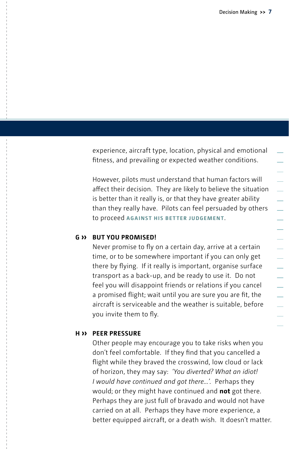experience, aircraft type, location, physical and emotional fitness, and prevailing or expected weather conditions.

However, pilots must understand that human factors will affect their decision. They are likely to believe the situation is better than it really is, or that they have greater ability than they really have. Pilots can feel persuaded by others to proceed **against his better judgement**.

#### **G ›› But you promised!**

Never promise to fly on a certain day, arrive at a certain time, or to be somewhere important if you can only get there by flying. If it really is important, organise surface transport as a back-up, and be ready to use it. Do not feel you will disappoint friends or relations if you cancel a promised flight; wait until you are sure you are fit, the aircraft is serviceable and the weather is suitable, before you invite them to fly.

#### **H ›› Peer pressure**

Other people may encourage you to take risks when you don't feel comfortable. If they find that you cancelled a flight while they braved the crosswind, low cloud or lack of horizon, they may say: *'You diverted? What an idiot! I would have continued and got there...'.* Perhaps they would; or they might have continued and **not** got there. Perhaps they are just full of bravado and would not have carried on at all. Perhaps they have more experience, a better equipped aircraft, or a death wish. It doesn't matter.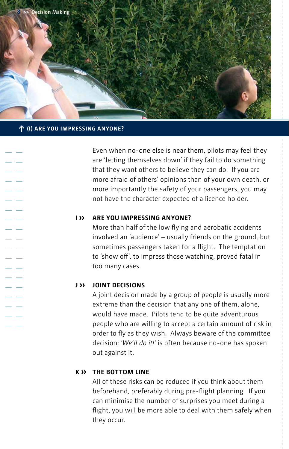

#### **↑ (I) Are you impressing anyone?**

a s

Even when no-one else is near them, pilots may feel they are 'letting themselves down' if they fail to do something that they want others to believe they can do. If you are more afraid of others' opinions than of your own death, or more importantly the safety of your passengers, you may not have the character expected of a licence holder.

#### **I ›› Are you impressing anyone?**

More than half of the low flying and aerobatic accidents involved an 'audience' – usually friends on the ground, but sometimes passengers taken for a flight. The temptation to 'show off', to impress those watching, proved fatal in too many cases.

#### **J ›› Joint decisions**

A joint decision made by a group of people is usually more extreme than the decision that any one of them, alone, would have made. Pilots tend to be quite adventurous people who are willing to accept a certain amount of risk in order to fly as they wish. Always beware of the committee decision: *'We'll do it!'* is often because no-one has spoken out against it.

#### **K ›› The bottom line**

All of these risks can be reduced if you think about them beforehand, preferably during pre-flight planning. If you can minimise the number of surprises you meet during a flight, you will be more able to deal with them safely when they occur.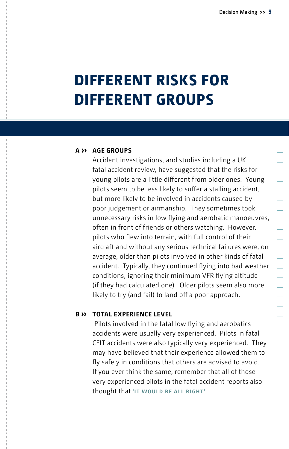## **DIFFERENT RISKS FOR DIFFERENT GROUPS**

#### **A ›› Age groups**

Accident investigations, and studies including a UK fatal accident review, have suggested that the risks for young pilots are a little different from older ones. Young pilots seem to be less likely to suffer a stalling accident, but more likely to be involved in accidents caused by poor judgement or airmanship. They sometimes took unnecessary risks in low flying and aerobatic manoeuvres, often in front of friends or others watching. However, pilots who flew into terrain, with full control of their aircraft and without any serious technical failures were, on average, older than pilots involved in other kinds of fatal accident. Typically, they continued flying into bad weather conditions, ignoring their minimum VFR flying altitude (if they had calculated one). Older pilots seem also more likely to try (and fail) to land off a poor approach.

#### **B ›› Total experience level**

 Pilots involved in the fatal low flying and aerobatics accidents were usually very experienced. Pilots in fatal CFIT accidents were also typically very experienced. They may have believed that their experience allowed them to fly safely in conditions that others are advised to avoid. If you ever think the same, remember that all of those very experienced pilots in the fatal accident reports also thought that **'it would be all right '**.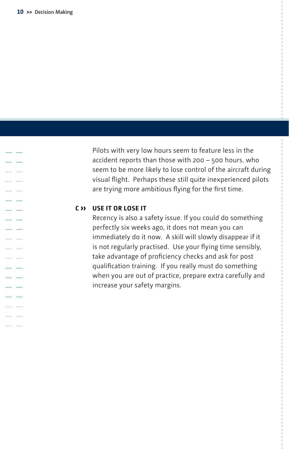$\sim$ a. a sa a sa . L a sa a a a la  $\mathcal{L}$ a a a an

a an a la

Pilots with very low hours seem to feature less in the accident reports than those with 200 – 500 hours. who seem to be more likely to lose control of the aircraft during visual flight. Perhaps these still quite inexperienced pilots are trying more ambitious flying for the first time.

#### **C ›› Use it or lose it**

Recency is also a safety issue. If you could do something perfectly six weeks ago, it does not mean you can immediately do it now. A skill will slowly disappear if it is not regularly practised. Use your flying time sensibly, take advantage of proficiency checks and ask for post qualification training. If you really must do something when you are out of practice, prepare extra carefully and increase your safety margins.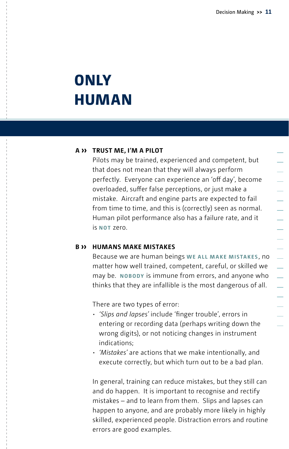## **ONLY HUMAN**

#### **A ›› Trust me, I'm a pilot**

Pilots may be trained, experienced and competent, but that does not mean that they will always perform perfectly. Everyone can experience an 'off day', become overloaded, suffer false perceptions, or just make a mistake. Aircraft and engine parts are expected to fail from time to time, and this is (correctly) seen as normal. Human pilot performance also has a failure rate, and it is **not** zero.

#### **B ›› Humans make mistakes**

Because we are human beings **we all make mistakes** , no matter how well trained, competent, careful, or skilled we may be. **Nobody** is immune from errors, and anyone who thinks that they are infallible is the most dangerous of all.

There are two types of error:

- • *'Slips and lapses'* include 'finger trouble', errors in entering or recording data (perhaps writing down the wrong digits), or not noticing changes in instrument indications;
- • *'Mistakes'* are actions that we make intentionally, and execute correctly, but which turn out to be a bad plan.

In general, training can reduce mistakes, but they still can and do happen. It is important to recognise and rectify mistakes – and to learn from them. Slips and lapses can happen to anyone, and are probably more likely in highly skilled, experienced people. Distraction errors and routine errors are good examples.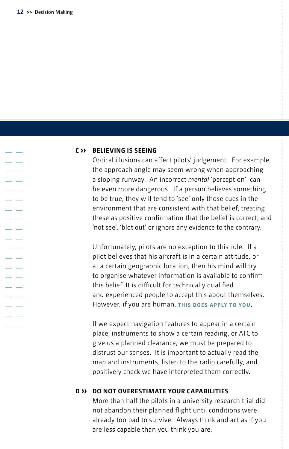$\sim$ a a

a sa s . . - 4 a sa

a a a an

a a

#### **C ›› Believing is seeing**

Optical illusions can affect pilots' judgement. For example, the approach angle may seem wrong when approaching a sloping runway. An incorrect *mental* 'perception' can be even more dangerous. If a person believes something to be true, they will tend to 'see' only those cues in the environment that are consistent with that belief, treating these as positive confirmation that the belief is correct, and 'not see', 'blot out' or ignore any evidence to the contrary.

Unfortunately, pilots are no exception to this rule. If a pilot believes that his aircraft is in a certain attitude, or at a certain geographic location, then his mind will try to organise whatever information is available to confirm this belief. It is difficult for technically qualified and experienced people to accept this about themselves. However, if you are human, **this does apply to you**.

If we expect navigation features to appear in a certain place, instruments to show a certain reading, or ATC to give us a planned clearance, we must be prepared to distrust our senses. It is important to actually read the map and instruments, listen to the radio carefully, and positively check we have interpreted them correctly.

### **D ›› do not overestimate your capabilities**

More than half the pilots in a university research trial did not abandon their planned flight until conditions were already too bad to survive. Always think and act as if you are less capable than you think you are.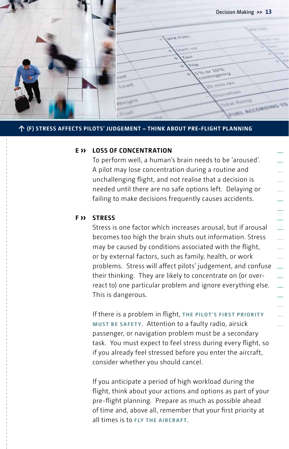Decision Making **>> 13**  $\overline{u}$  $\lambda$  $\overline{q}$  $\frac{10}{10}$  or  $\frac{10}{10}$ ontingency  $20$  min res Load **ACTEDIOR Allar WEDROING TO** 

#### **Dummytext Caption: Field of vision ↑ (F) Stress affects pilots' judgement – think about pre-flight planning**

#### **E ›› Loss of concentration**

To perform well, a human's brain needs to be 'aroused'. A pilot may lose concentration during a routine and unchallenging flight, and not realise that a decision is needed until there are no safe options left. Delaying or failing to make decisions frequently causes accidents.

#### **F ›› Stress**

Stress is one factor which increases arousal, but if arousal becomes too high the brain shuts out information. Stress may be caused by conditions associated with the flight, or by external factors, such as family, health, or work problems. Stress will affect pilots' judgement, and confuse their thinking. They are likely to concentrate on (or overreact to) one particular problem and ignore everything else. This is dangerous.

If there is a problem in flight, **the pilot's first priorit y must be safety**. Attention to a faulty radio, airsick passenger, or navigation problem must be a secondary task. You must expect to feel stress during every flight, so if you already feel stressed before you enter the aircraft, consider whether you should cancel.

If you anticipate a period of high workload during the flight, think about your actions and options as part of your pre-flight planning. Prepare as much as possible ahead of time and, above all, remember that your first priority at all times is to **fly the aircraft**.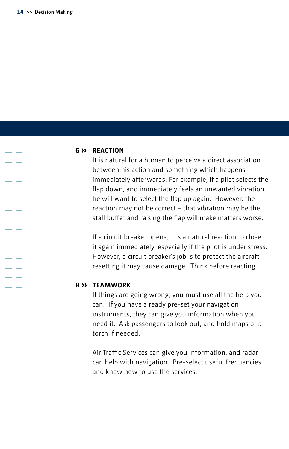$\sim$ a sa a sa

. L  $\overline{\phantom{a}}$ a a - 11 a sa . L a a a an

a a a s

#### **G ›› Reaction**

It is natural for a human to perceive a direct association between his action and something which happens immediately afterwards. For example, if a pilot selects the flap down, and immediately feels an unwanted vibration, he will want to select the flap up again. However, the reaction may not be correct – that vibration may be the stall buffet and raising the flap will make matters worse.

If a circuit breaker opens, it is a natural reaction to close it again immediately, especially if the pilot is under stress. However, a circuit breaker's job is to protect the aircraft – resetting it may cause damage. Think before reacting.

#### **H ›› Teamwork**

If things are going wrong, you must use all the help you can. If you have already pre-set your navigation instruments, they can give you information when you need it. Ask passengers to look out, and hold maps or a torch if needed.

Air Traffic Services can give you information, and radar can help with navigation. Pre-select useful frequencies and know how to use the services.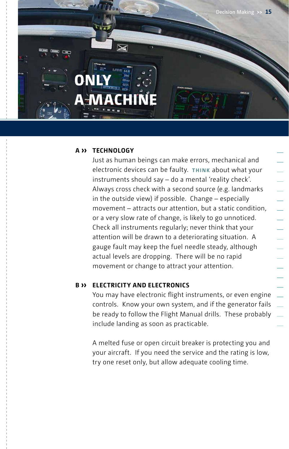

#### **A ›› Technology**

**A MACHINE**

**ONLY** 

Just as human beings can make errors, mechanical and electronic devices can be faulty. **THINK** about what your instruments should say – do a mental 'reality check'. Always cross check with a second source (e.g. landmarks in the outside view) if possible. Change – especially movement – attracts our attention, but a static condition, or a very slow rate of change, is likely to go unnoticed. Check all instruments regularly; never think that your attention will be drawn to a deteriorating situation. A gauge fault may keep the fuel needle steady, although actual levels are dropping. There will be no rapid movement or change to attract your attention.

#### **B ›› Electricity and electronics**

You may have electronic flight instruments, or even engine controls. Know your own system, and if the generator fails be ready to follow the Flight Manual drills. These probably include landing as soon as practicable.

A melted fuse or open circuit breaker is protecting you and your aircraft. If you need the service and the rating is low, try one reset only, but allow adequate cooling time.

- 
-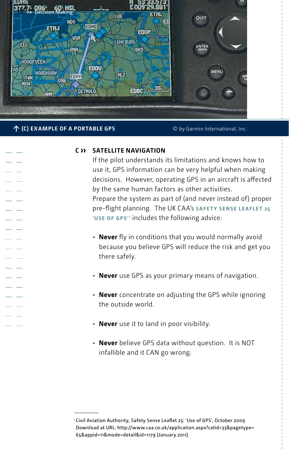

#### **↑ (C) example of a portable GPS**

© by Garmin International, Inc.

#### **C ›› Satellite navigation**

If the pilot understands its limitations and knows how to use it, GPS information can be very helpful when making decisions. However, operating GPS in an aircraft is affected by the same human factors as other activities. Prepare the system as part of (and never instead of) proper pre-flight planning. The UK CAA's **Safety Sense leaflet 25 'Use of GPS' <sup>1</sup>** includes the following advice:

- **Never** fly in conditions that you would normally avoid because you believe GPS will reduce the risk and get you there safely.
- **Never** use GPS as your primary means of navigation.
- **Never** concentrate on adjusting the GPS while ignoring the outside world.
- **Never** use it to land in poor visibility.
- **Never** believe GPS data without question. It is NOT infallible and it CAN go wrong.

<sup>1</sup> Civil Aviation Authority, Safety Sense Leaflet 25: 'Use of GPS', October 2009 Download at URL: http://www.caa.co.uk/application.aspx?catid=33&pagetype= 65&appid=11&mode=detail&id=1179 [January 2011]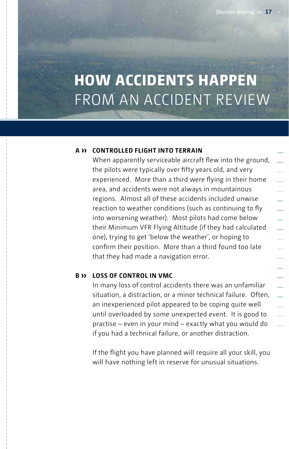## **HOW ACCIDENTS HAPPEN**  From an Accident Review

#### **A ›› Controlled Flight Into Terrain**

When apparently serviceable aircraft flew into the ground, the pilots were typically over fifty years old, and very experienced. More than a third were flying in their home area, and accidents were not always in mountainous regions. Almost all of these accidents included unwise reaction to weather conditions (such as continuing to fly into worsening weather). Most pilots had come below their Minimum VFR Flying Altitude (if they had calculated one), trying to get 'below the weather', or hoping to confirm their position. More than a third found too late that they had made a navigation error.

#### **B ›› Loss of control in VMC**

In many loss of control accidents there was an unfamiliar situation, a distraction, or a minor technical failure. Often, an inexperienced pilot appeared to be coping quite well until overloaded by some unexpected event. It is good to practise – even in your mind – exactly what you would do if you had a technical failure, or another distraction.

If the flight you have planned will require all your skill, you will have nothing left in reserve for unusual situations.

- 
-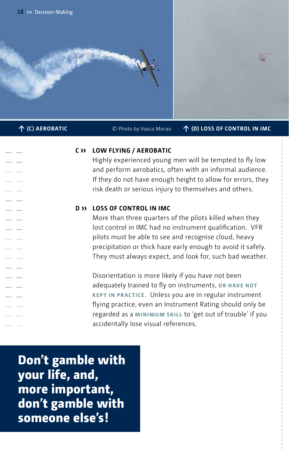

**↑ (C) Aerobatic** © Photo by Vasco Morao **↑ (D) lOss of control in imc**

### **C ›› Low flying / aerobatic**

Highly experienced young men will be tempted to fly low and perform aerobatics, often with an informal audience. If they do not have enough height to allow for errors, they risk death or serious injury to themselves and others.

#### **D ›› Loss of control in IMC**

More than three quarters of the pilots killed when they lost control in IMC had no instrument qualification. VFR pilots must be able to see and recognise cloud, heavy precipitation or thick haze early enough to avoid it safely. They must always expect, and look for, such bad weather.

Disorientation is more likely if you have not been adequately trained to fly on instruments, **or have not kept in practice** . Unless you are in regular instrument flying practice, even an Instrument Rating should only be regarded as a **minimum skill** to 'get out of trouble' if you accidentally lose visual references.

**Don't gamble with your life, and, more important, don't gamble with someone else's!**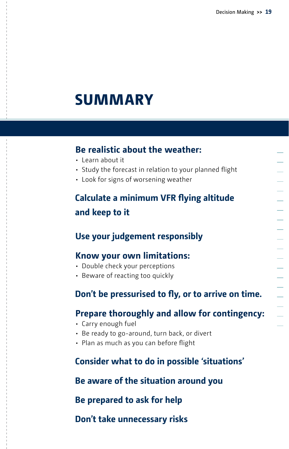## **Summary**

## **Be realistic about the weather:**

- Learn about it
- Study the forecast in relation to your planned flight
- Look for signs of worsening weather

## **Calculate a minimum VFR flying altitude and keep to it**

## **Use your judgement responsibly**

### **Know your own limitations:**

- Double check your perceptions
- Beware of reacting too quickly

## **Don't be pressurised to fly, or to arrive on time.**

## **Prepare thoroughly and allow for contingency:**

- Carry enough fuel
- Be ready to go-around, turn back, or divert
- Plan as much as you can before flight

## **Consider what to do in possible 'situations'**

### **Be aware of the situation around you**

### **Be prepared to ask for help**

## **Don't take unnecessary risks**